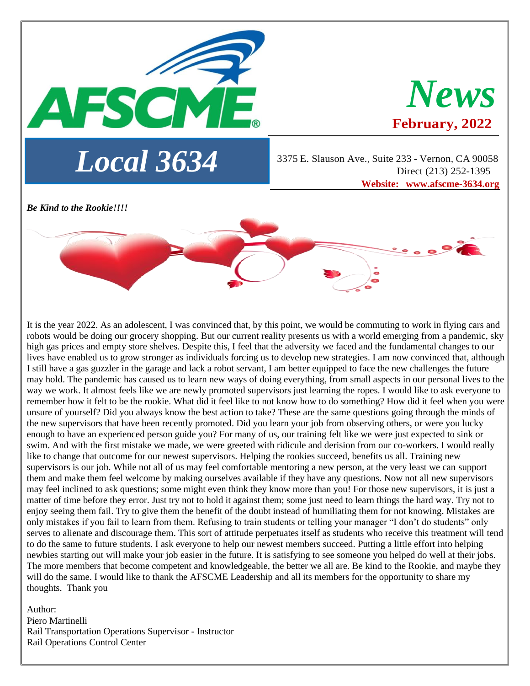

It is the year 2022. As an adolescent, I was convinced that, by this point, we would be commuting to work in flying cars and robots would be doing our grocery shopping. But our current reality presents us with a world emerging from a pandemic, sky high gas prices and empty store shelves. Despite this, I feel that the adversity we faced and the fundamental changes to our lives have enabled us to grow stronger as individuals forcing us to develop new strategies. I am now convinced that, although I still have a gas guzzler in the garage and lack a robot servant, I am better equipped to face the new challenges the future may hold. The pandemic has caused us to learn new ways of doing everything, from small aspects in our personal lives to the way we work. It almost feels like we are newly promoted supervisors just learning the ropes. I would like to ask everyone to remember how it felt to be the rookie. What did it feel like to not know how to do something? How did it feel when you were unsure of yourself? Did you always know the best action to take? These are the same questions going through the minds of the new supervisors that have been recently promoted. Did you learn your job from observing others, or were you lucky enough to have an experienced person guide you? For many of us, our training felt like we were just expected to sink or swim. And with the first mistake we made, we were greeted with ridicule and derision from our co-workers. I would really like to change that outcome for our newest supervisors. Helping the rookies succeed, benefits us all. Training new supervisors is our job. While not all of us may feel comfortable mentoring a new person, at the very least we can support them and make them feel welcome by making ourselves available if they have any questions. Now not all new supervisors may feel inclined to ask questions; some might even think they know more than you! For those new supervisors, it is just a matter of time before they error. Just try not to hold it against them; some just need to learn things the hard way. Try not to enjoy seeing them fail. Try to give them the benefit of the doubt instead of humiliating them for not knowing. Mistakes are only mistakes if you fail to learn from them. Refusing to train students or telling your manager "I don't do students" only serves to alienate and discourage them. This sort of attitude perpetuates itself as students who receive this treatment will tend to do the same to future students. I ask everyone to help our newest members succeed. Putting a little effort into helping newbies starting out will make your job easier in the future. It is satisfying to see someone you helped do well at their jobs. The more members that become competent and knowledgeable, the better we all are. Be kind to the Rookie, and maybe they will do the same. I would like to thank the AFSCME Leadership and all its members for the opportunity to share my thoughts. Thank you

Author: Piero Martinelli Rail Transportation Operations Supervisor - Instructor Rail Operations Control Center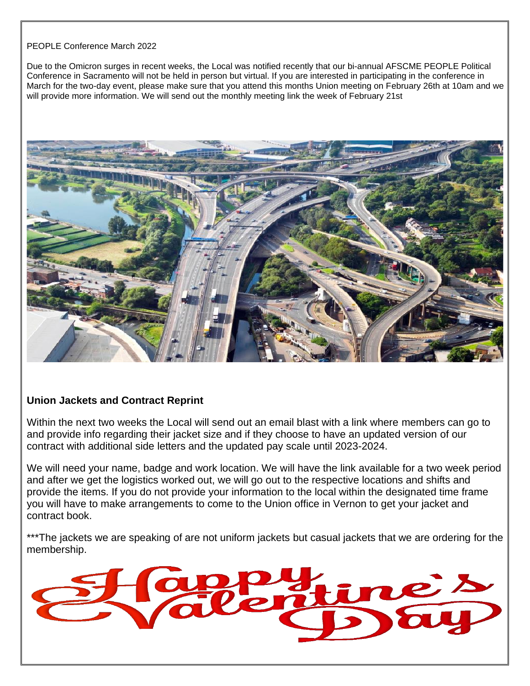#### PEOPLE Conference March 2022

Due to the Omicron surges in recent weeks, the Local was notified recently that our bi-annual AFSCME PEOPLE Political Conference in Sacramento will not be held in person but virtual. If you are interested in participating in the conference in March for the two-day event, please make sure that you attend this months Union meeting on February 26th at 10am and we will provide more information. We will send out the monthly meeting link the week of February 21st



#### **Union Jackets and Contract Reprint**

Within the next two weeks the Local will send out an email blast with a link where members can go to and provide info regarding their jacket size and if they choose to have an updated version of our contract with additional side letters and the updated pay scale until 2023-2024.

We will need your name, badge and work location. We will have the link available for a two week period and after we get the logistics worked out, we will go out to the respective locations and shifts and provide the items. If you do not provide your information to the local within the designated time frame you will have to make arrangements to come to the Union office in Vernon to get your jacket and contract book.

\*\*\*The jackets we are speaking of are not uniform jackets but casual jackets that we are ordering for the membership.

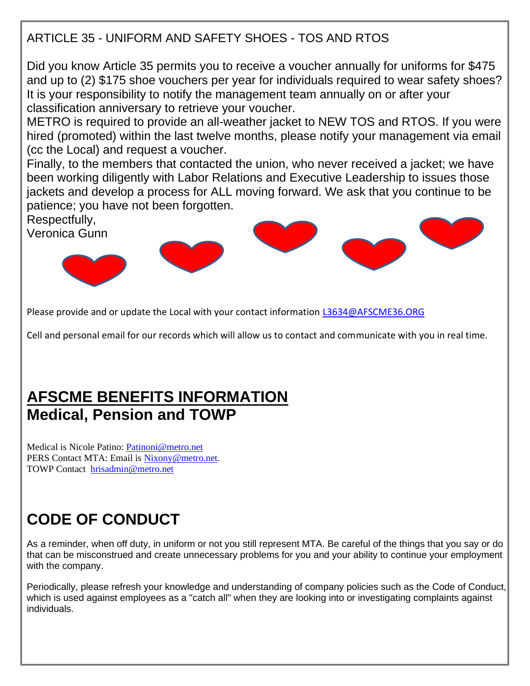### ARTICLE 35 - UNIFORM AND SAFETY SHOES - TOS AND RTOS

Did you know Article 35 permits you to receive a voucher annually for uniforms for \$475 and up to (2) \$175 shoe vouchers per year for individuals required to wear safety shoes? It is your responsibility to notify the management team annually on or after your classification anniversary to retrieve your voucher.

METRO is required to provide an all-weather jacket to NEW TOS and RTOS. If you were hired (promoted) within the last twelve months, please notify your management via email (cc the Local) and request a voucher.

Finally, to the members that contacted the union, who never received a jacket; we have been working diligently with Labor Relations and Executive Leadership to issues those jackets and develop a process for ALL moving forward. We ask that you continue to be patience; you have not been forgotten.

Respectfully,

Veronica Gunn



Please provide and or update the Local with your contact information [L3634@AFSCME36.ORG](mailto:L3634@AFSCME36.ORG)

Cell and personal email for our records which will allow us to contact and communicate with you in real time.

### **AFSCME BENEFITS INFORMATION Medical, Pension and TOWP**

Medical is Nicole Patino: [Patinoni@metro.net](mailto:Patinoni@metro.net) PERS Contact MTA: Email is [Nixony@metro.net.](mailto:Nixony@metro.net) TOWP Contact [hrisadmin@metro.net](mailto:hrisadmin@metro.net)

# **CODE OF CONDUCT**

As a reminder, when off duty, in uniform or not you still represent MTA. Be careful of the things that you say or do that can be misconstrued and create unnecessary problems for you and your ability to continue your employment with the company.

Periodically, please refresh your knowledge and understanding of company policies such as the Code of Conduct, which is used against employees as a "catch all" when they are looking into or investigating complaints against individuals.